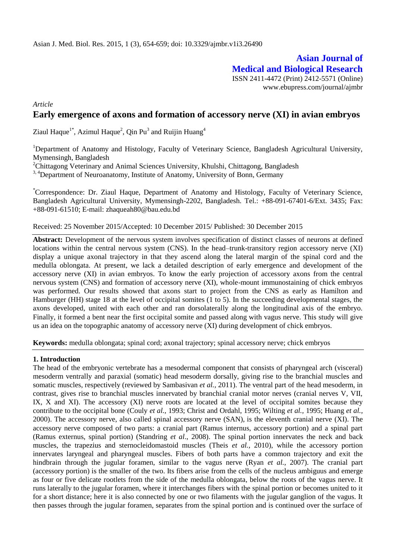# **Asian Journal of Medical and Biological Research**

ISSN 2411-4472 (Print) 2412-5571 (Online) www.ebupress.com/journal/ajmbr

*Article*

## **Early emergence of axons and formation of accessory nerve (XI) in avian embryos**

Ziaul Haque<sup>1\*</sup>, Azimul Haque<sup>2</sup>, Qin Pu<sup>3</sup> and Ruijin Huang<sup>4</sup>

<sup>1</sup>Department of Anatomy and Histology, Faculty of Veterinary Science, Bangladesh Agricultural University, Mymensingh, Bangladesh

<sup>2</sup>Chittagong Veterinary and Animal Sciences University, Khulshi, Chittagong, Bangladesh

<sup>3, 4</sup>Department of Neuroanatomy, Institute of Anatomy, University of Bonn, Germany

\*Correspondence: Dr. Ziaul Haque, Department of Anatomy and Histology, Faculty of Veterinary Science, Bangladesh Agricultural University, Mymensingh-2202, Bangladesh. Tel.: +88-091-67401-6/Ext. 3435; Fax: +88-091-61510; E-mail: [zhaqueah80@bau.edu.bd](mailto:zhaqueah80@bau.edu.bd)

### Received: 25 November 2015/Accepted: 10 December 2015/ Published: 30 December 2015

Abstract: Development of the nervous system involves specification of distinct classes of neurons at defined locations within the central nervous system (CNS). In the head–trunk-transitory region accessory nerve (XI) display a unique axonal trajectory in that they ascend along the lateral margin of the spinal cord and the medulla oblongata. At present, we lack a detailed description of early emergence and development of the accessory nerve (XI) in avian embryos. To know the early projection of accessory axons from the central nervous system (CNS) and formation of accessory nerve (XI), whole-mount immunostaining of chick embryos was performed. Our results showed that axons start to project from the CNS as early as Hamilton and Hamburger (HH) stage 18 at the level of occipital somites (1 to 5). In the succeeding developmental stages, the axons developed, united with each other and ran dorsolaterally along the longitudinal axis of the embryo. Finally, it formed a bent near the first occipital somite and passed along with vagus nerve. This study will give us an idea on the topographic anatomy of accessory nerve (XI) during development of chick embryos.

**Keywords:** medulla oblongata; spinal cord; axonal trajectory; spinal accessory nerve; chick embryos

### **1. Introduction**

The head of the embryonic vertebrate has a mesodermal component that consists of pharyngeal arch (visceral) mesoderm ventrally and paraxial (somatic) head mesoderm dorsally, giving rise to the branchial muscles and somatic muscles, respectively (reviewed by Sambasivan *et al.,* 2011). The ventral part of the head mesoderm, in contrast, gives rise to branchial muscles innervated by branchial cranial motor nerves (cranial nerves V, VII, IX, X and XI). The accessory (XI) nerve roots are located at the level of occipital somites because they contribute to the occipital bone (Couly *et al.,* 1993; Christ and Ordahl, 1995; Wilting *et al.,* 1995; Huang *et al.,* 2000). The accessory nerve, also called spinal accessory nerve (SAN), is the eleventh [cranial nerve](http://radiopaedia.org/articles/cranial-nerves) (XI). The accessory nerve composed of two parts: a cranial part (Ramus internus, accessory portion) and a spinal part (Ramus externus, spinal portion) (Standring *et al*., 2008). The spinal portion innervates the neck and back muscles, the trapezius and sternocleidomastoid muscles (Theis *et al.,* 2010), while the accessory portion innervates laryngeal and pharyngeal muscles. Fibers of both parts have a common trajectory and exit the hindbrain through the jugular foramen, similar to the vagus nerve (Ryan *et al.,* 2007). The cranial part (accessory portion) is the smaller of the two. Its fibers arise from the cells of the [nucleus ambiguus](http://radiopaedia.org/articles/missing?article%5Btitle%5D=nucleus-ambiguus) and emerge as four or five delicate rootlets from the side of the [medulla oblongata,](http://radiopaedia.org/articles/medulla-oblongata) below the roots of the [vagus nerve.](http://radiopaedia.org/articles/vagus-nerve) It runs laterally to the [jugular foramen,](http://radiopaedia.org/articles/jugular-foramen-2) where it interchanges fibers with the spinal portion or becomes united to it for a short distance; here it is also connected by one or two filaments with the jugular ganglion of the vagus. It then passes through the jugular foramen, separates from the spinal portion and is continued over the surface of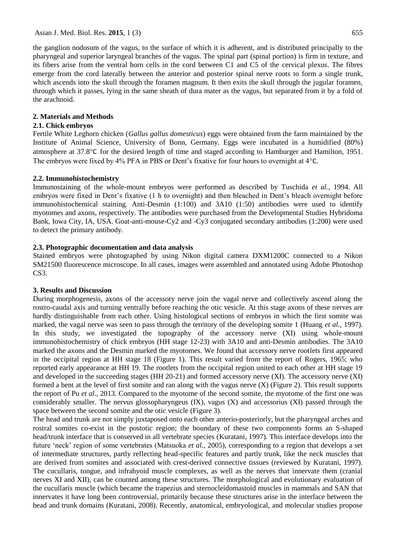the [ganglion nodosum](http://radiopaedia.org/articles/missing?article%5Btitle%5D=ganglion-nodosum) of the vagus, to the surface of which it is adherent, and is distributed principally to the pharyngeal and superior laryngeal branches of the vagus. The spinal part (spinal portion) is firm in texture, and its fibers arise from the ventral horn cells in the cord between C1 and C5 of the [cervical plexus.](http://radiopaedia.org/articles/cervical-plexus) The fibres emerge from the cord laterally between the anterior and posterior spinal nerve roots to form a single trunk, which ascends into the skull through the foramen magnum. It then exits the skull through the jugular foramen, through which it passes, lying in the same sheath of dura mater as the vagus, but separated from it by a fold of the arachnoid.

## **2. Materials and Methods**

## **2.1. Chick embryos**

Fertile White Leghorn chicken (*Gallus gallus domesticus*) eggs were obtained from the farm maintained by the Institute of Animal Science, University of Bonn, Germany. Eggs were incubated in a humidified (80%) atmosphere at 37.8°C for the desired length of time and staged according to Hamburger and Hamilton, 1951. The embryos were fixed by 4% PFA in PBS or Dent's fixative for four hours to overnight at  $4^{\circ}$ C.

## **2.2. Immunohistochemistry**

Immunostaining of the whole-mount embryos were performed as described by Tuschida *et al.,* 1994. All embryos were fixed in Dent's fixative (1 h to overnight) and then bleached in Dent's bleach overnight before immunohistochemical staining. Anti-Desmin (1:100) and 3A10 (1:50) antibodies were used to identify myotomes and axons, respectively. The antibodies were purchased from the Developmental Studies Hybridoma Bank, Iowa City, IA, USA. Goat-anti-mouse-Cy2 and -Cy3 conjugated secondary antibodies (1:200) were used to detect the primary antibody.

## **2.3. Photographic documentation and data analysis**

Stained embryos were photographed by using Nikon digital camera DXM1200C connected to a Nikon SM21500 fluorescence microscope. In all cases, images were assembled and annotated using Adobe Photoshop CS<sub>3</sub>.

## **3. Results and Discussion**

During morphogenesis, axons of the accessory nerve join the vagal nerve and collectively ascend along the rostro-caudal axis and turning ventrally before reaching the otic vesicle. At this stage axons of these nerves are hardly distinguishable from each other. Using histological sections of embryos in which the first somite was marked, the vagal nerve was seen to pass through the territory of the developing somite 1 (Huang *et al.,* 1997). In this study, we investigated the topography of the accessory nerve (XI) using whole-mount immunohistochemistry of chick embryos (HH stage 12-23) with 3A10 and anti-Desmin antibodies. The 3A10 marked the axons and the Desmin marked the myotomes. We found that accessory nerve rootlets first appeared in the occipital region at HH stage 18 (Figure 1). This result varied from the report of Rogers, 1965; who reported early appearance at HH 19. The rootlets from the occipital region united to each other at HH stage 19 and developed in the succeeding stages (HH 20-21) and formed accessory nerve (XI). The accessory nerve (XI) formed a bent at the level of first somite and ran along with the vagus nerve (X) (Figure 2). This result supports the report of Pu *et al.,* 2013. Compared to the myotome of the second somite, the myotome of the first one was considerably smaller. The nervus glossopharyngeus (IX), vagus (X) and accessorius (XI) passed through the space between the second somite and the otic vesicle (Figure 3).

The head and trunk are not simply juxtaposed onto each other anterio-posteriorly, but the pharyngeal arches and rostral somites co-exist in the postotic region; the boundary of these two components forms an S-shaped head/trunk interface that is conserved in all vertebrate species (Kuratani, 1997). This interface develops into the future 'neck' region of some vertebrates (Matsuoka *et al.,* 2005), corresponding to a region that develops a set of intermediate structures, partly reflecting head-specific features and partly trunk, like the neck muscles that are derived from somites and associated with crest-derived connective tissues (reviewed by Kuratani, 1997). The cucullaris, tongue, and infrahyoid muscle complexes, as well as the nerves that innervate them (cranial nerves XI and XII), can be counted among these structures. The morphological and evolutionary evaluation of the cucullaris muscle (which became the trapezius and sternocleidomastoid muscles in mammals and SAN that innervates it have long been controversial, primarily because these structures arise in the interface between the head and trunk domains (Kuratani, 2008). Recently, anatomical, embryological, and molecular studies propose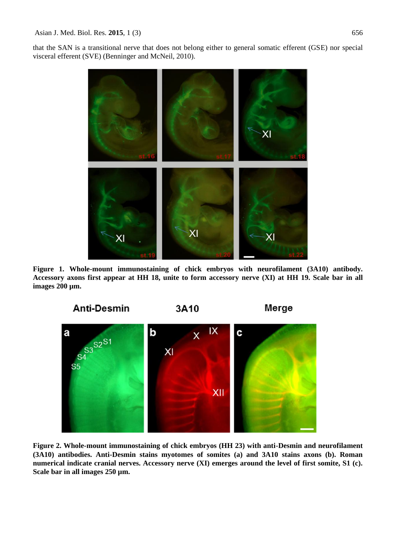that the SAN is a transitional nerve that does not belong either to general somatic efferent (GSE) nor special visceral efferent (SVE) (Benninger and McNeil, 2010).



**Figure 1. Whole-mount immunostaining of chick embryos with neurofilament (3A10) antibody. Accessory axons first appear at HH 18, unite to form accessory nerve (XI) at HH 19. Scale bar in all images 200 µm.**



**Figure 2. Whole-mount immunostaining of chick embryos (HH 23) with anti-Desmin and neurofilament (3A10) antibodies. Anti-Desmin stains myotomes of somites (a) and 3A10 stains axons (b). Roman numerical indicate cranial nerves. Accessory nerve (XI) emerges around the level of first somite, S1 (c). Scale bar in all images 250 µm.**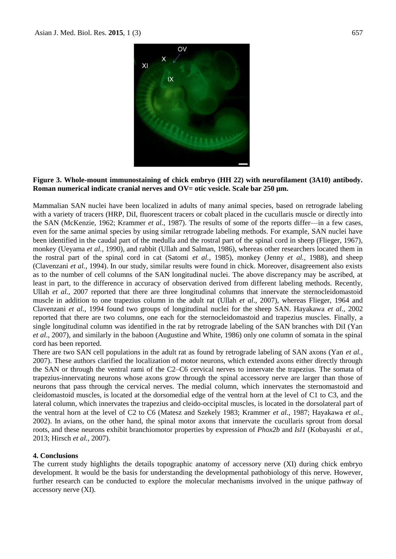

## **Figure 3. Whole-mount immunostaining of chick embryo (HH 22) with neurofilament (3A10) antibody. Roman numerical indicate cranial nerves and OV= otic vesicle. Scale bar 250 µm.**

Mammalian SAN nuclei have been localized in adults of many animal species, based on retrograde labeling with a variety of tracers (HRP, DiI, fluorescent tracers or cobalt placed in the cucullaris muscle or directly into the SAN (McKenzie, 1962; Krammer *et al.,* 1987). The results of some of the reports differ—in a few cases, even for the same animal species by using similar retrograde labeling methods. For example, SAN nuclei have been identified in the caudal part of the medulla and the rostral part of the spinal cord in sheep (Flieger, 1967), monkey (Ueyama *et al.,* 1990), and rabbit (Ullah and Salman, 1986), whereas other researchers located them in the rostral part of the spinal cord in cat (Satomi *et al.,* 1985), monkey (Jenny *et al.,* 1988), and sheep (Clavenzani *et al.,* 1994). In our study, similar results were found in chick. Moreover, disagreement also exists as to the number of cell columns of the SAN longitudinal nuclei. The above discrepancy may be ascribed, at least in part, to the difference in accuracy of observation derived from different labeling methods. Recently, Ullah *et al.*, 2007 reported that there are three longitudinal columns that innervate the sternocleidomastoid muscle in addition to one trapezius column in the adult rat (Ullah *et al*., 2007), whereas Flieger, 1964 and Clavenzani *et al.,* 1994 found two groups of longitudinal nuclei for the sheep SAN. Hayakawa *et al.,* 2002 reported that there are two columns, one each for the sternocleidomastoid and trapezius muscles. Finally, a single longitudinal column was identified in the rat by retrograde labeling of the SAN branches with DiI (Yan *et al*., 2007), and similarly in the baboon (Augustine and White, 1986) only one column of somata in the spinal cord has been reported.

There are two SAN cell populations in the adult rat as found by retrograde labeling of SAN axons (Yan *et al.,* 2007). These authors clarified the localization of motor neurons, which extended axons either directly through the SAN or through the ventral rami of the C2–C6 cervical nerves to innervate the trapezius. The somata of trapezius-innervating neurons whose axons grow through the spinal accessory nerve are larger than those of neurons that pass through the cervical nerves. The medial column, which innervates the sternomastoid and cleidomastoid muscles, is located at the dorsomedial edge of the ventral horn at the level of C1 to C3, and the lateral column, which innervates the trapezius and cleido-occipital muscles, is located in the dorsolateral part of the ventral horn at the level of C2 to C6 (Matesz and Szekely 1983; Krammer *et al.,* 1987; Hayakawa *et al.,* 2002). In avians, on the other hand, the spinal motor axons that innervate the cucullaris sprout from dorsal roots, and these neurons exhibit branchiomotor properties by expression of *Phox2b* and *Isl1* (Kobayashi *et al.,* 2013; Hirsch *et al.,* 2007).

#### **4. Conclusions**

The current study highlights the details topographic anatomy of accessory nerve (XI) during chick embryo development. It would be the basis for understanding the developmental pathobiology of this nerve. However, further research can be conducted to explore the molecular mechanisms involved in the unique pathway of accessory nerve (XI).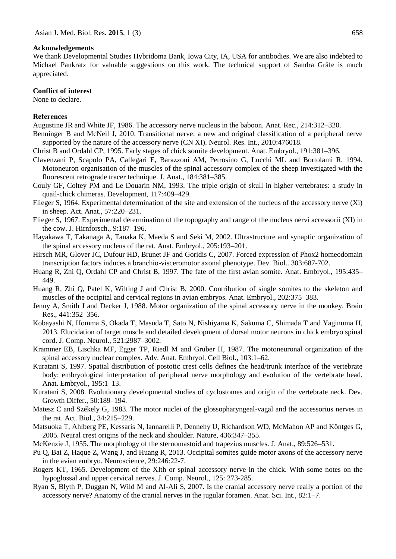#### **Acknowledgements**

We thank Developmental Studies Hybridoma Bank, Iowa City, IA, USA for antibodies. We are also indebted to Michael Pankratz for valuable suggestions on this work. The technical support of Sandra Gräfe is much appreciated.

#### **Conflict of interest**

None to declare.

#### **References**

Augustine JR and White JF, 1986. The accessory nerve nucleus in the baboon. Anat. Rec., 214:312–320.

- Benninger B and McNeil J, 2010. Transitional nerve: a new and original classification of a peripheral nerve supported by the nature of the accessory nerve (CN XI). Neurol. Res. Int., 2010:476018.
- Christ B and Ordahl CP, 1995. Early stages of chick somite development. Anat. Embryol., 191:381–396.
- Clavenzani P, Scapolo PA, Callegari E, Barazzoni AM, Petrosino G, Lucchi ML and Bortolami R, 1994. Motoneuron organisation of the muscles of the spinal accessory complex of the sheep investigated with the fluorescent retrograde tracer technique. J. Anat., 184:381–385.
- Couly GF, Coltey PM and Le Douarin NM, 1993. The triple origin of skull in higher vertebrates: a study in quail-chick chimeras. Development, 117:409–429.
- Flieger S, 1964. Experimental determination of the site and extension of the nucleus of the accessory nerve (Xi) in sheep. Act. Anat., 57:220–231.
- Flieger S, 1967. Experimental determination of the topography and range of the nucleus nervi accessorii (XI) in the cow. J. Hirnforsch., 9:187–196.
- Hayakawa T, Takanaga A, Tanaka K, Maeda S and Seki M, 2002. Ultrastructure and synaptic organization of the spinal accessory nucleus of the rat. Anat. Embryol., 205:193–201.
- Hirsch MR, Glover JC, Dufour HD, Brunet JF and Goridis C, 2007. Forced expression of Phox2 homeodomain transcription factors induces a branchio-visceromotor axonal phenotype. Dev. Biol.. 303:687-702.
- Huang R, Zhi Q, Ordahl CP and Christ B, 1997. The fate of the first avian somite. Anat. Embryol., 195:435– 449.
- Huang R, Zhi Q, Patel K, Wilting J and Christ B, 2000. Contribution of single somites to the skeleton and muscles of the occipital and cervical regions in avian embryos. Anat. Embryol., 202:375–383.
- Jenny A, Smith J and Decker J, 1988. Motor organization of the spinal accessory nerve in the monkey. Brain Res., 441:352–356.
- Kobayashi N, Homma S, Okada T, Masuda T, Sato N, Nishiyama K, Sakuma C, Shimada T and Yaginuma H, 2013. Elucidation of target muscle and detailed development of dorsal motor neurons in chick embryo spinal cord. J. Comp. Neurol., 521:2987–3002.
- Krammer EB, Lischka MF, Egger TP, Riedl M and Gruber H, 1987. The motoneuronal organization of the spinal accessory nuclear complex. Adv. Anat. Embryol. Cell Biol., 103:1–62.
- Kuratani S, 1997. Spatial distribution of postotic crest cells defines the head/trunk interface of the vertebrate body: embryological interpretation of peripheral nerve morphology and evolution of the vertebrate head. Anat. Embryol., 195:1–13.
- Kuratani S, 2008. Evolutionary developmental studies of cyclostomes and origin of the vertebrate neck. Dev. Growth Differ., 50:189–194.
- Matesz C and Székely G, 1983. The motor nuclei of the glossopharyngeal-vagal and the accessorius nerves in the rat. Act. Biol., 34:215–229.
- Matsuoka T, Ahlberg PE, Kessaris N, Iannarelli P, Dennehy U, Richardson WD, McMahon AP and Köntges G, 2005. Neural crest origins of the neck and shoulder. Nature, 436:347–355.
- McKenzie J, 1955. The morphology of the sternomastoid and trapezius muscles. J. Anat., 89:526–531.
- Pu Q, Bai Z, Haque Z, Wang J, and Huang R, 2013. Occipital somites guide motor axons of the accessory nerve in the avian embryo. Neuroscience, 29:246:22-7.
- Rogers KT, 1965. Development of the XIth or spinal accessory nerve in the chick. With some notes on the hypoglossal and upper cervical nerves. J. Comp. Neurol., 125: 273-285.
- Ryan S, Blyth P, Duggan N, Wild M and Al-Ali S, 2007. Is the cranial accessory nerve really a portion of the accessory nerve? Anatomy of the cranial nerves in the jugular foramen. Anat. Sci. Int., 82:1–7.